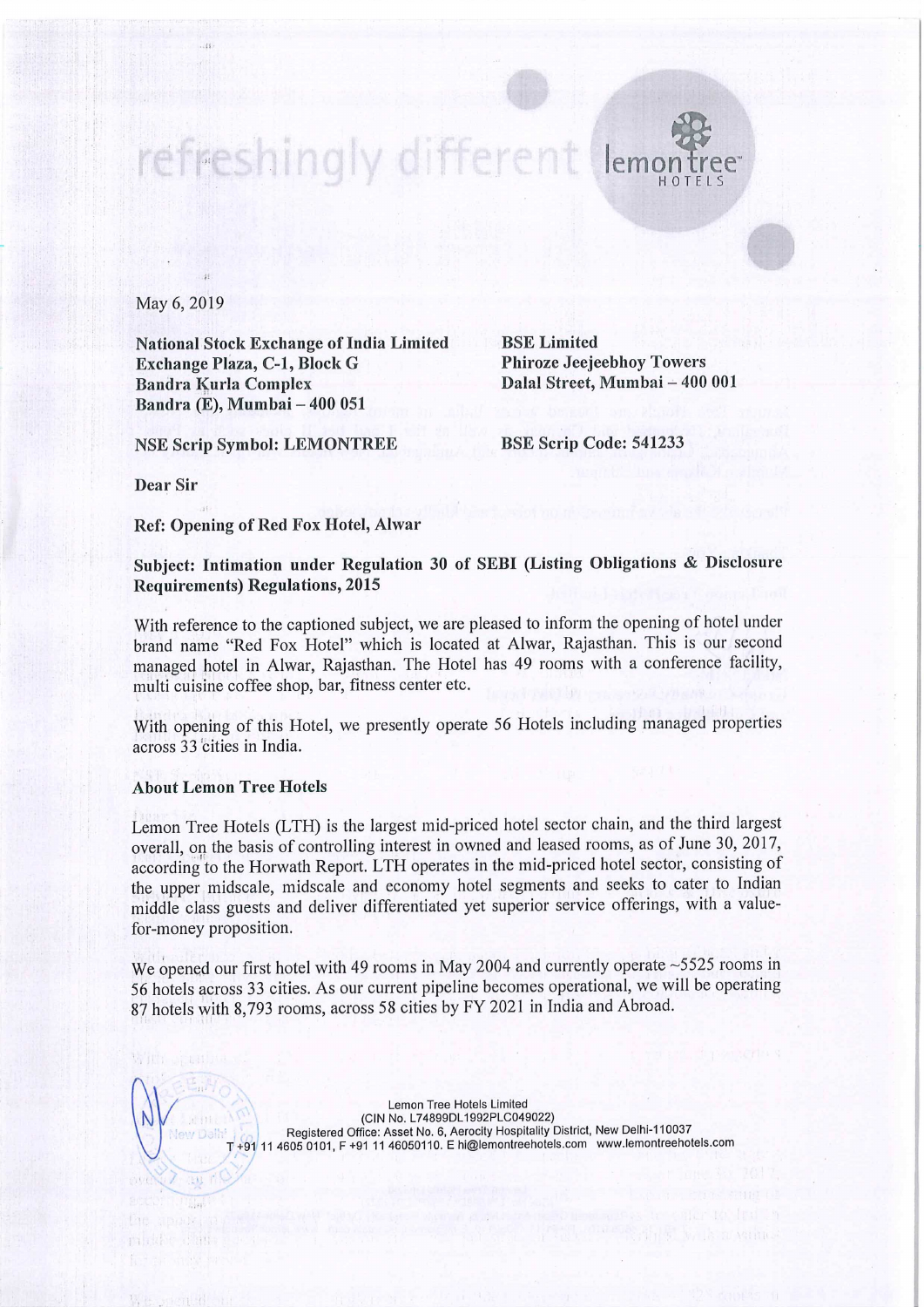

May 6, 2019

National Stock Exchange of India Limited<br> **Exchange Plaza, C-1, Block G** Phiroze Jeejeebhoy Towers Exchange Plaza, C-1, Block G Bandra Kurla Complex Bandra (E), Mumbai — 400 051

Dalal Street, Mumbai - 400 001

NSE Scrip Symbol: LEMONTREE BSE Scrip Code: <sup>541233</sup>

Dear Sir

Ref: Opening of Red Fox Hotel, Alwar

Subject: Intimation under Regulation <sup>30</sup> of SEBI (Listing Obligations & Disclosure Requirements) Regulations, 2015

With reference to the captioned subject, we are pleased to inform the opening of hotel under brand name "Red Fox Hotel" which is located at Alwar, Rajasthan. This is our second managed hotel in Alwar, Rajasthan. The Hotel has <sup>49</sup> rooms with <sup>a</sup> conference facility, multi cuisine coffee shop, bar, fitness center etc.

With opening of this Hotel, we presently operate <sup>56</sup> Hotels including managed properties across 33 cities in India.

## About Lemon Tree Hotels

Lemon Tree Hotels (LTH) is the largest mid-priced hotel sector chain, and the third largest overall, on the basis of controlling interest in owned and leased rooms, as of June 30, 2017, according to the Horwath Report. LTH operates in the mid-priced hotel sector, consisting of the upper midscale, midscale and economy hotel segments and seeks to cater to Indian middle class guests and deliver differentiated yet superior service offerings, with <sup>a</sup> valuefor-money proposition.

We opened our first hotel with 49 rooms in May 2004 and currently operate ~5525 rooms in <sup>56</sup> hotels across <sup>33</sup> cities. As our current pipeline becomes operational, we will be operating <sup>87</sup> hotels with 8,793 rooms, across <sup>58</sup> cities by FY <sup>2021</sup> in India and Abroad.

> Lemon Tree Hotels Limited (CIN No. L74899DL1992PLC049022) Registered Office: Asset No. 6, Aerocity Hospitality District, New Delhi-110037 +91 11 4605 0101, F +91 11 46050110. E hi@lemontreehotels.com www.lemontreehotels.com